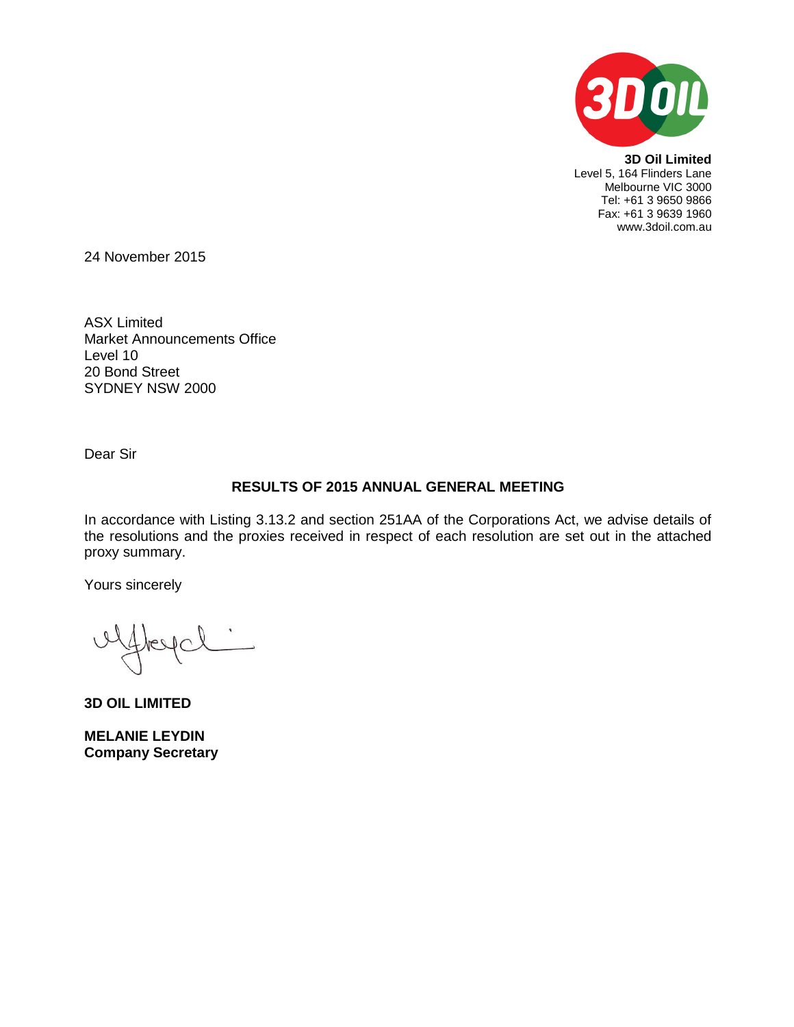

**3D Oil Limited** Level 5, 164 Flinders Lane Melbourne VIC 3000 Tel: +61 3 9650 9866 Fax: +61 3 9639 1960 www.3doil.com.au

24 November 2015

ASX Limited Market Announcements Office Level 10 20 Bond Street SYDNEY NSW 2000

Dear Sir

# **RESULTS OF 2015 ANNUAL GENERAL MEETING**

In accordance with Listing 3.13.2 and section 251AA of the Corporations Act, we advise details of the resolutions and the proxies received in respect of each resolution are set out in the attached proxy summary.

Yours sincerely

 $AC$ 

**3D OIL LIMITED**

**MELANIE LEYDIN Company Secretary**